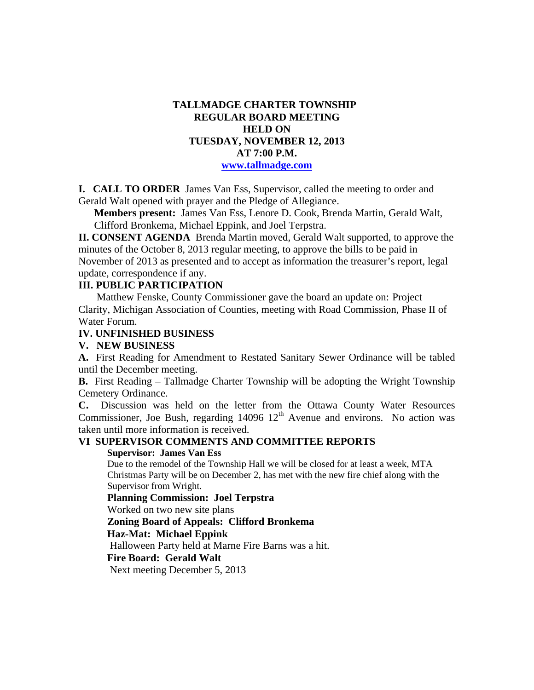## **TALLMADGE CHARTER TOWNSHIP REGULAR BOARD MEETING HELD ON TUESDAY, NOVEMBER 12, 2013 AT 7:00 P.M. www.tallmadge.com**

**I. CALL TO ORDER** James Van Ess, Supervisor, called the meeting to order and Gerald Walt opened with prayer and the Pledge of Allegiance.

**Members present:** James Van Ess, Lenore D. Cook, Brenda Martin, Gerald Walt, Clifford Bronkema, Michael Eppink, and Joel Terpstra.

**II. CONSENT AGENDA** Brenda Martin moved, Gerald Walt supported, to approve the minutes of the October 8, 2013 regular meeting, to approve the bills to be paid in November of 2013 as presented and to accept as information the treasurer's report, legal update, correspondence if any.

## **III. PUBLIC PARTICIPATION**

Matthew Fenske, County Commissioner gave the board an update on: Project Clarity, Michigan Association of Counties, meeting with Road Commission, Phase II of Water Forum.

### **IV. UNFINISHED BUSINESS**

### **V. NEW BUSINESS**

**A.** First Reading for Amendment to Restated Sanitary Sewer Ordinance will be tabled until the December meeting.

**B.** First Reading – Tallmadge Charter Township will be adopting the Wright Township Cemetery Ordinance.

**C.** Discussion was held on the letter from the Ottawa County Water Resources Commissioner, Joe Bush, regarding  $14096 \frac{12^{th}}{h}$  Avenue and environs. No action was taken until more information is received.

# **VI SUPERVISOR COMMENTS AND COMMITTEE REPORTS**

#### **Supervisor: James Van Ess**

 Due to the remodel of the Township Hall we will be closed for at least a week, MTA Christmas Party will be on December 2, has met with the new fire chief along with the Supervisor from Wright.

**Planning Commission: Joel Terpstra** 

Worked on two new site plans

### **Zoning Board of Appeals: Clifford Bronkema**

**Haz-Mat: Michael Eppink** 

Halloween Party held at Marne Fire Barns was a hit.

#### **Fire Board: Gerald Walt**

Next meeting December 5, 2013